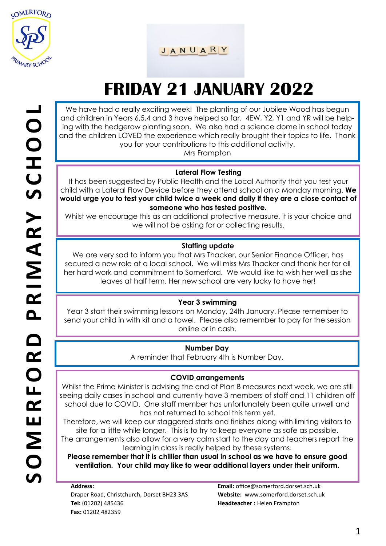

JANUARY

# **FRIDAY 21 JANUARY 2022**

We have had a really exciting week! The planting of our Jubilee Wood has begun and children in Years 6,5,4 and 3 have helped so far. 4EW, Y2, Y1 and YR will be helping with the hedgerow planting soon. We also had a science dome in school today and the children LOVED the experience which really brought their topics to life. Thank you for your contributions to this additional activity.

Mrs Frampton

#### **Lateral Flow Testing**

It has been suggested by Public Health and the Local Authority that you test your child with a Lateral Flow Device before they attend school on a Monday morning. **We would urge you to test your child twice a week and daily if they are a close contact of someone who has tested positive.** 

Whilst we encourage this as an additional protective measure, it is your choice and we will not be asking for or collecting results.

### **Staffing update**

We are very sad to inform you that Mrs Thacker, our Senior Finance Officer, has secured a new role at a local school. We will miss Mrs Thacker and thank her for all her hard work and commitment to Somerford. We would like to wish her well as she leaves at half term. Her new school are very lucky to have her!

### **Year 3 swimming**

Year 3 start their swimming lessons on Monday, 24th January. Please remember to send your child in with kit and a towel. Please also remember to pay for the session online or in cash.

### **Number Day**

A reminder that February 4th is Number Day.

#### **COVID arrangements**

Whilst the Prime Minister is advising the end of Plan B measures next week, we are still seeing daily cases in school and currently have 3 members of staff and 11 children off school due to COVID. One staff member has unfortunately been quite unwell and has not returned to school this term yet.

Therefore, we will keep our staggered starts and finishes along with limiting visitors to site for a little while longer. This is to try to keep everyone as safe as possible.

The arrangements also allow for a very calm start to the day and teachers report the learning in class is really helped by these systems.

**Please remember that it is chillier than usual in school as we have to ensure good ventilation. Your child may like to wear additional layers under their uniform.** 

**Address:**  Draper Road, Christchurch, Dorset BH23 3AS **Tel:** (01202) 485436 **Fax:** 01202 482359

**Email:** office@somerford.dorset.sch.uk **Website:** www.somerford.dorset.sch.uk **Headteacher :** Helen Frampton